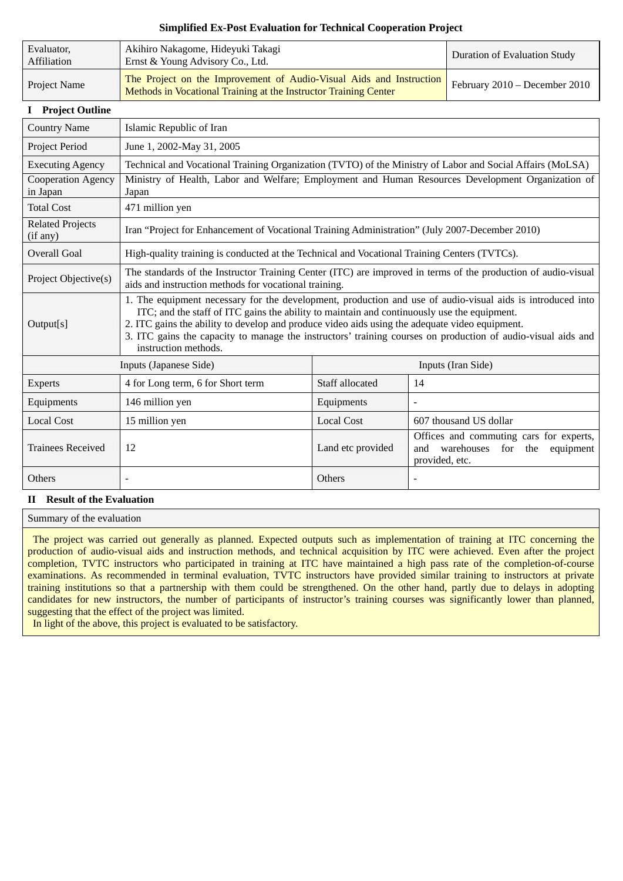## **Simplified Ex-Post Evaluation for Technical Cooperation Project**

| Evaluator,<br>Affiliation | Akihiro Nakagome, Hideyuki Takagi<br>Ernst & Young Advisory Co., Ltd.                                                                   | Duration of Evaluation Study    |
|---------------------------|-----------------------------------------------------------------------------------------------------------------------------------------|---------------------------------|
| Project Name              | The Project on the Improvement of Audio-Visual Aids and Instruction<br>Methods in Vocational Training at the Instructor Training Center | February $2010 -$ December 2010 |

### **I Project Outline**

| <b>Country Name</b>                 | Islamic Republic of Iran                                                                                                                                                                                                                                                                                                                                                                                                                            |                    |                                                                                                           |
|-------------------------------------|-----------------------------------------------------------------------------------------------------------------------------------------------------------------------------------------------------------------------------------------------------------------------------------------------------------------------------------------------------------------------------------------------------------------------------------------------------|--------------------|-----------------------------------------------------------------------------------------------------------|
| Project Period                      | June 1, 2002-May 31, 2005                                                                                                                                                                                                                                                                                                                                                                                                                           |                    |                                                                                                           |
| <b>Executing Agency</b>             | Technical and Vocational Training Organization (TVTO) of the Ministry of Labor and Social Affairs (MoLSA)                                                                                                                                                                                                                                                                                                                                           |                    |                                                                                                           |
| Cooperation Agency<br>in Japan      | Ministry of Health, Labor and Welfare; Employment and Human Resources Development Organization of<br>Japan                                                                                                                                                                                                                                                                                                                                          |                    |                                                                                                           |
| <b>Total Cost</b>                   | 471 million yen                                                                                                                                                                                                                                                                                                                                                                                                                                     |                    |                                                                                                           |
| <b>Related Projects</b><br>(if any) | Iran "Project for Enhancement of Vocational Training Administration" (July 2007-December 2010)                                                                                                                                                                                                                                                                                                                                                      |                    |                                                                                                           |
| <b>Overall Goal</b>                 | High-quality training is conducted at the Technical and Vocational Training Centers (TVTCs).                                                                                                                                                                                                                                                                                                                                                        |                    |                                                                                                           |
| Project Objective(s)                | The standards of the Instructor Training Center (ITC) are improved in terms of the production of audio-visual<br>aids and instruction methods for vocational training.                                                                                                                                                                                                                                                                              |                    |                                                                                                           |
| Output[s]                           | 1. The equipment necessary for the development, production and use of audio-visual aids is introduced into<br>ITC; and the staff of ITC gains the ability to maintain and continuously use the equipment.<br>2. ITC gains the ability to develop and produce video aids using the adequate video equipment.<br>3. ITC gains the capacity to manage the instructors' training courses on production of audio-visual aids and<br>instruction methods. |                    |                                                                                                           |
|                                     | Inputs (Japanese Side)                                                                                                                                                                                                                                                                                                                                                                                                                              | Inputs (Iran Side) |                                                                                                           |
| Experts                             | 4 for Long term, 6 for Short term                                                                                                                                                                                                                                                                                                                                                                                                                   | Staff allocated    | 14                                                                                                        |
| Equipments                          | 146 million yen                                                                                                                                                                                                                                                                                                                                                                                                                                     | Equipments         | $\overline{a}$                                                                                            |
| <b>Local Cost</b>                   | 15 million yen                                                                                                                                                                                                                                                                                                                                                                                                                                      | <b>Local Cost</b>  | 607 thousand US dollar                                                                                    |
| <b>Trainees Received</b>            | 12                                                                                                                                                                                                                                                                                                                                                                                                                                                  | Land etc provided  | Offices and commuting cars for experts,<br>and<br>warehouses<br>equipment<br>for<br>the<br>provided, etc. |
| Others                              |                                                                                                                                                                                                                                                                                                                                                                                                                                                     | Others             |                                                                                                           |

# **II Result of the Evaluation**

Summary of the evaluation

The project was carried out generally as planned. Expected outputs such as implementation of training at ITC concerning the production of audio-visual aids and instruction methods, and technical acquisition by ITC were achieved. Even after the project completion, TVTC instructors who participated in training at ITC have maintained a high pass rate of the completion-of-course examinations. As recommended in terminal evaluation, TVTC instructors have provided similar training to instructors at private training institutions so that a partnership with them could be strengthened. On the other hand, partly due to delays in adopting candidates for new instructors, the number of participants of instructor's training courses was significantly lower than planned, suggesting that the effect of the project was limited.

In light of the above, this project is evaluated to be satisfactory.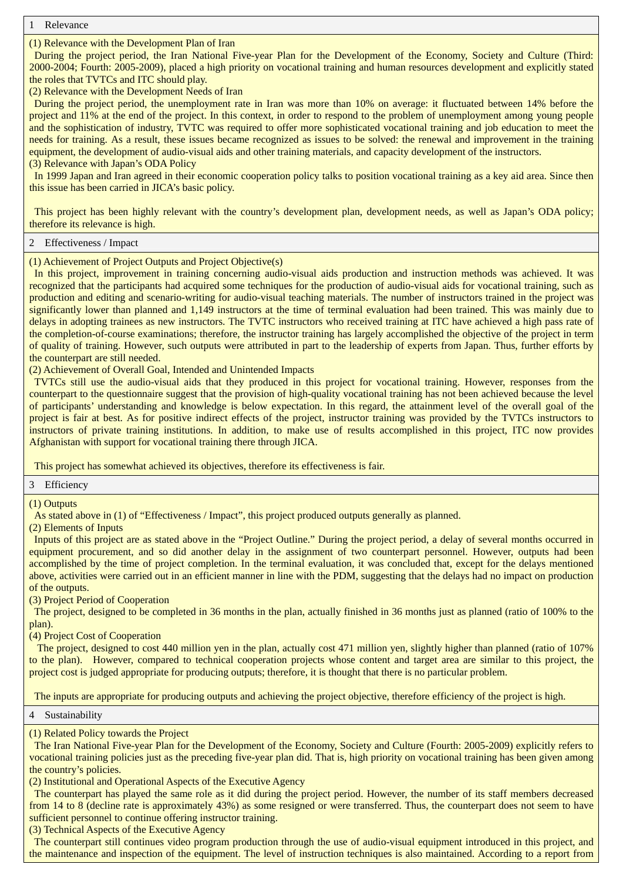**Relevance** 

(1) Relevance with the Development Plan of Iran

During the project period, the Iran National Five-year Plan for the Development of the Economy, Society and Culture (Third: 2000-2004; Fourth: 2005-2009), placed a high priority on vocational training and human resources development and explicitly stated the roles that TVTCs and ITC should play.

(2) Relevance with the Development Needs of Iran

During the project period, the unemployment rate in Iran was more than 10% on average: it fluctuated between 14% before the project and 11% at the end of the project. In this context, in order to respond to the problem of unemployment among young people and the sophistication of industry, TVTC was required to offer more sophisticated vocational training and job education to meet the needs for training. As a result, these issues became recognized as issues to be solved: the renewal and improvement in the training equipment, the development of audio-visual aids and other training materials, and capacity development of the instructors. (3) Relevance with Japan's ODA Policy

In 1999 Japan and Iran agreed in their economic cooperation policy talks to position vocational training as a key aid area. Since then this issue has been carried in JICA's basic policy.

This project has been highly relevant with the country's development plan, development needs, as well as Japan's ODA policy; therefore its relevance is high.

### 2 Effectiveness / Impact

(1) Achievement of Project Outputs and Project Objective(s)

In this project, improvement in training concerning audio-visual aids production and instruction methods was achieved. It was recognized that the participants had acquired some techniques for the production of audio-visual aids for vocational training, such as production and editing and scenario-writing for audio-visual teaching materials. The number of instructors trained in the project was significantly lower than planned and 1,149 instructors at the time of terminal evaluation had been trained. This was mainly due to delays in adopting trainees as new instructors. The TVTC instructors who received training at ITC have achieved a high pass rate of the completion-of-course examinations; therefore, the instructor training has largely accomplished the objective of the project in term of quality of training. However, such outputs were attributed in part to the leadership of experts from Japan. Thus, further efforts by the counterpart are still needed.

(2) Achievement of Overall Goal, Intended and Unintended Impacts

TVTCs still use the audio-visual aids that they produced in this project for vocational training. However, responses from the counterpart to the questionnaire suggest that the provision of high-quality vocational training has not been achieved because the level of participants' understanding and knowledge is below expectation. In this regard, the attainment level of the overall goal of the project is fair at best. As for positive indirect effects of the project, instructor training was provided by the TVTCs instructors to instructors of private training institutions. In addition, to make use of results accomplished in this project, ITC now provides Afghanistan with support for vocational training there through JICA.

This project has somewhat achieved its objectives, therefore its effectiveness is fair.

3 Efficiency

(1) Outputs

As stated above in (1) of "Effectiveness / Impact", this project produced outputs generally as planned.

(2) Elements of Inputs

Inputs of this project are as stated above in the "Project Outline." During the project period, a delay of several months occurred in equipment procurement, and so did another delay in the assignment of two counterpart personnel. However, outputs had been accomplished by the time of project completion. In the terminal evaluation, it was concluded that, except for the delays mentioned above, activities were carried out in an efficient manner in line with the PDM, suggesting that the delays had no impact on production of the outputs.

(3) Project Period of Cooperation

The project, designed to be completed in 36 months in the plan, actually finished in 36 months just as planned (ratio of 100% to the plan).

(4) Project Cost of Cooperation

The project, designed to cost 440 million yen in the plan, actually cost 471 million yen, slightly higher than planned (ratio of 107%) to the plan). However, compared to technical cooperation projects whose content and target area are similar to this project, the project cost is judged appropriate for producing outputs; therefore, it is thought that there is no particular problem.

The inputs are appropriate for producing outputs and achieving the project objective, therefore efficiency of the project is high.

4 Sustainability

(1) Related Policy towards the Project

The Iran National Five-year Plan for the Development of the Economy, Society and Culture (Fourth: 2005-2009) explicitly refers to vocational training policies just as the preceding five-year plan did. That is, high priority on vocational training has been given among the country's policies.

(2) Institutional and Operational Aspects of the Executive Agency

The counterpart has played the same role as it did during the project period. However, the number of its staff members decreased from 14 to 8 (decline rate is approximately 43%) as some resigned or were transferred. Thus, the counterpart does not seem to have sufficient personnel to continue offering instructor training.

(3) Technical Aspects of the Executive Agency

The counterpart still continues video program production through the use of audio-visual equipment introduced in this project, and the maintenance and inspection of the equipment. The level of instruction techniques is also maintained. According to a report from